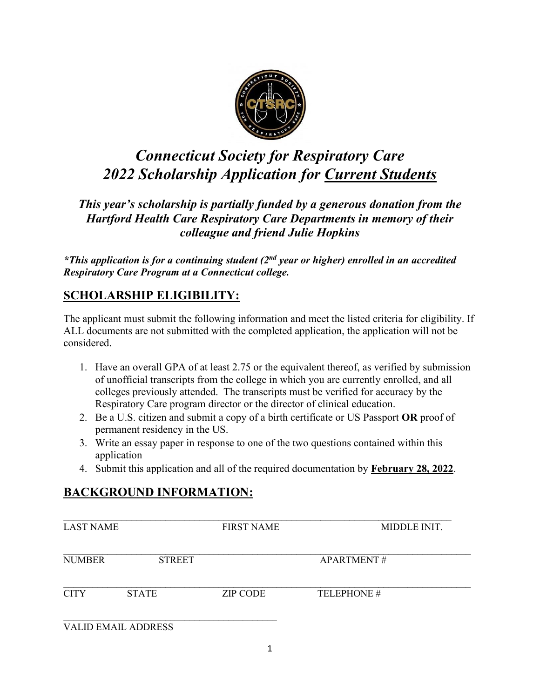

# *Connecticut Society for Respiratory Care 2022 Scholarship Application for Current Students*

*This year's scholarship is partially funded by a generous donation from the Hartford Health Care Respiratory Care Departments in memory of their colleague and friend Julie Hopkins*

*\*This application is for a continuing student (2nd year or higher) enrolled in an accredited Respiratory Care Program at a Connecticut college.* 

## **SCHOLARSHIP ELIGIBILITY:**

The applicant must submit the following information and meet the listed criteria for eligibility. If ALL documents are not submitted with the completed application, the application will not be considered.

- 1. Have an overall GPA of at least 2.75 or the equivalent thereof, as verified by submission of unofficial transcripts from the college in which you are currently enrolled, and all colleges previously attended. The transcripts must be verified for accuracy by the Respiratory Care program director or the director of clinical education.
- 2. Be a U.S. citizen and submit a copy of a birth certificate or US Passport **OR** proof of permanent residency in the US.
- 3. Write an essay paper in response to one of the two questions contained within this application
- 4. Submit this application and all of the required documentation by **February 28, 2022**.

# **BACKGROUND INFORMATION:**

| <b>LAST NAME</b> |                            | <b>FIRST NAME</b> | MIDDLE INIT.      |
|------------------|----------------------------|-------------------|-------------------|
| <b>NUMBER</b>    | <b>STREET</b>              |                   | <b>APARTMENT#</b> |
| <b>CITY</b>      | <b>STATE</b>               | <b>ZIP CODE</b>   | TELEPHONE#        |
|                  | <b>VALID EMAIL ADDRESS</b> |                   |                   |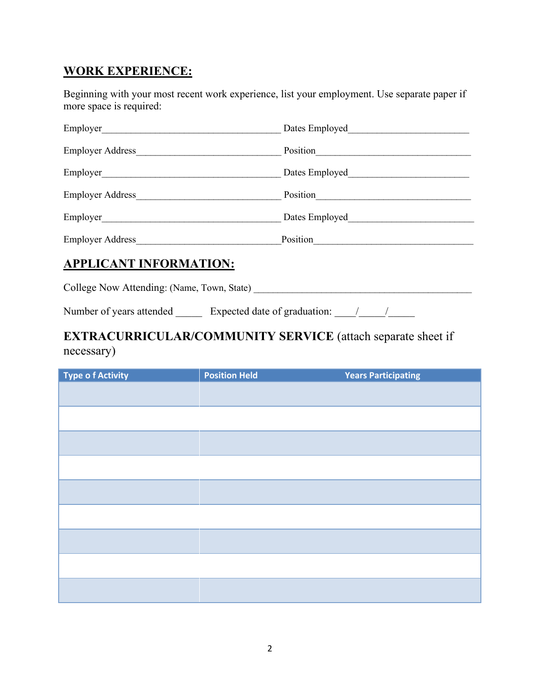## **WORK EXPERIENCE:**

Beginning with your most recent work experience, list your employment. Use separate paper if more space is required:

| Employer_               | Dates Employed |
|-------------------------|----------------|
| <b>Employer Address</b> | Position       |
| Employer                | Dates Employed |
| <b>Employer Address</b> | Position       |
| Employer                | Dates Employed |
| <b>Employer Address</b> | Position       |

#### **APPLICANT INFORMATION:**

College Now Attending: (Name, Town, State) \_\_\_\_\_\_\_\_\_\_\_\_\_\_\_\_\_\_\_\_\_\_\_\_\_\_\_\_\_\_\_\_\_\_\_\_\_\_\_\_\_\_\_\_\_

Number of years attended \_\_\_\_\_\_ Expected date of graduation: \_\_\_\_\_\_\_\_\_\_\_\_\_\_\_\_\_\_\_\_

## **EXTRACURRICULAR/COMMUNITY SERVICE** (attach separate sheet if necessary)

| <b>Type of Activity</b> | <b>Position Held</b> | <b>Years Participating</b> |
|-------------------------|----------------------|----------------------------|
|                         |                      |                            |
|                         |                      |                            |
|                         |                      |                            |
|                         |                      |                            |
|                         |                      |                            |
|                         |                      |                            |
|                         |                      |                            |
|                         |                      |                            |
|                         |                      |                            |
|                         |                      |                            |
|                         |                      |                            |